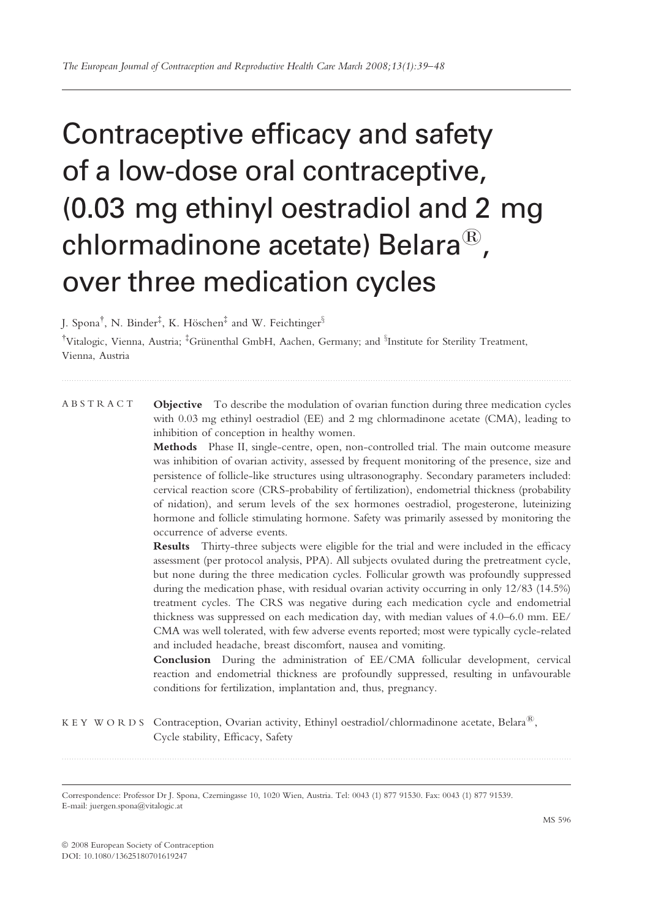# Contraceptive efficacy and safety of a low-dose oral contraceptive, (0.03 mg ethinyl oestradiol and 2 mg chlormadinone acetate) Belara $^{\circledR}$ , over three medication cycles

J. Spona $^{\dagger}$ , N. Binder $^{\ddagger}$ , K. Höschen $^{\ddagger}$  and W. Feichtinger $^{\S}$ 

<sup>†</sup>Vitalogic, Vienna, Austria; <sup>‡</sup>Grünenthal GmbH, Aachen, Germany; and <sup>§</sup>Institute for Sterility Treatment, Vienna, Austria

ABSTRACT Objective To describe the modulation of ovarian function during three medication cycles with 0.03 mg ethinyl oestradiol (EE) and 2 mg chlormadinone acetate (CMA), leading to inhibition of conception in healthy women.

> Methods Phase II, single-centre, open, non-controlled trial. The main outcome measure was inhibition of ovarian activity, assessed by frequent monitoring of the presence, size and persistence of follicle-like structures using ultrasonography. Secondary parameters included: cervical reaction score (CRS-probability of fertilization), endometrial thickness (probability of nidation), and serum levels of the sex hormones oestradiol, progesterone, luteinizing hormone and follicle stimulating hormone. Safety was primarily assessed by monitoring the occurrence of adverse events.

> Results Thirty-three subjects were eligible for the trial and were included in the efficacy assessment (per protocol analysis, PPA). All subjects ovulated during the pretreatment cycle, but none during the three medication cycles. Follicular growth was profoundly suppressed during the medication phase, with residual ovarian activity occurring in only 12/83 (14.5%) treatment cycles. The CRS was negative during each medication cycle and endometrial thickness was suppressed on each medication day, with median values of 4.0–6.0 mm. EE/ CMA was well tolerated, with few adverse events reported; most were typically cycle-related and included headache, breast discomfort, nausea and vomiting.

> Conclusion During the administration of EE/CMA follicular development, cervical reaction and endometrial thickness are profoundly suppressed, resulting in unfavourable conditions for fertilization, implantation and, thus, pregnancy.

KEY WORDS Contraception, Ovarian activity, Ethinyl oestradiol/chlormadinone acetate, Belara<sup>®</sup>. Cycle stability, Efficacy, Safety

Correspondence: Professor Dr J. Spona, Czerningasse 10, 1020 Wien, Austria. Tel: 0043 (1) 877 91530. Fax: 0043 (1) 877 91539. E-mail: juergen.spona@vitalogic.at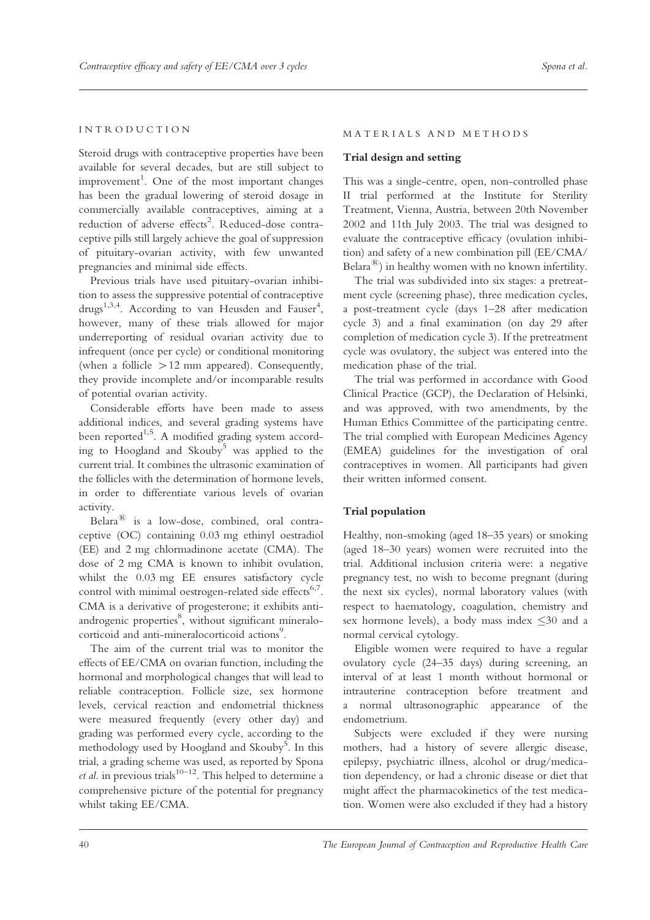# INTRODUCTION

Steroid drugs with contraceptive properties have been available for several decades, but are still subject to improvement<sup>1</sup>. One of the most important changes has been the gradual lowering of steroid dosage in commercially available contraceptives, aiming at a reduction of adverse effects<sup>2</sup>. Reduced-dose contraceptive pills still largely achieve the goal of suppression of pituitary-ovarian activity, with few unwanted pregnancies and minimal side effects.

Previous trials have used pituitary-ovarian inhibition to assess the suppressive potential of contraceptive drugs<sup>1,3,4</sup>. According to van Heusden and Fauser<sup>4</sup>, however, many of these trials allowed for major underreporting of residual ovarian activity due to infrequent (once per cycle) or conditional monitoring (when a follicle  $>12$  mm appeared). Consequently, they provide incomplete and/or incomparable results of potential ovarian activity.

Considerable efforts have been made to assess additional indices, and several grading systems have been reported<sup>1,5</sup>. A modified grading system according to Hoogland and Skouby<sup>5</sup> was applied to the current trial. It combines the ultrasonic examination of the follicles with the determination of hormone levels, in order to differentiate various levels of ovarian activity.

Belara $^{\circledR}$  is a low-dose, combined, oral contraceptive (OC) containing 0.03 mg ethinyl oestradiol (EE) and 2 mg chlormadinone acetate (CMA). The dose of 2 mg CMA is known to inhibit ovulation, whilst the 0.03 mg EE ensures satisfactory cycle control with minimal oestrogen-related side effects<sup>6,7</sup>. CMA is a derivative of progesterone; it exhibits antiandrogenic properties<sup>8</sup>, without significant mineralocorticoid and anti-mineralocorticoid actions<sup>9</sup>.

The aim of the current trial was to monitor the effects of EE/CMA on ovarian function, including the hormonal and morphological changes that will lead to reliable contraception. Follicle size, sex hormone levels, cervical reaction and endometrial thickness were measured frequently (every other day) and grading was performed every cycle, according to the methodology used by Hoogland and Skouby<sup>5</sup>. In this trial, a grading scheme was used, as reported by Spona *et al.* in previous trials<sup>10–12</sup>. This helped to determine a comprehensive picture of the potential for pregnancy whilst taking EE/CMA.

#### MATERIALS AND METHODS

## Trial design and setting

This was a single-centre, open, non-controlled phase II trial performed at the Institute for Sterility Treatment, Vienna, Austria, between 20th November 2002 and 11th July 2003. The trial was designed to evaluate the contraceptive efficacy (ovulation inhibition) and safety of a new combination pill (EE/CMA/ Belara<sup> $(8)$ </sup>) in healthy women with no known infertility.

The trial was subdivided into six stages: a pretreatment cycle (screening phase), three medication cycles, a post-treatment cycle (days 1–28 after medication cycle 3) and a final examination (on day 29 after completion of medication cycle 3). If the pretreatment cycle was ovulatory, the subject was entered into the medication phase of the trial.

The trial was performed in accordance with Good Clinical Practice (GCP), the Declaration of Helsinki, and was approved, with two amendments, by the Human Ethics Committee of the participating centre. The trial complied with European Medicines Agency (EMEA) guidelines for the investigation of oral contraceptives in women. All participants had given their written informed consent.

## Trial population

Healthy, non-smoking (aged 18–35 years) or smoking (aged 18–30 years) women were recruited into the trial. Additional inclusion criteria were: a negative pregnancy test, no wish to become pregnant (during the next six cycles), normal laboratory values (with respect to haematology, coagulation, chemistry and sex hormone levels), a body mass index  $\leq 30$  and a normal cervical cytology.

Eligible women were required to have a regular ovulatory cycle (24–35 days) during screening, an interval of at least 1 month without hormonal or intrauterine contraception before treatment and a normal ultrasonographic appearance of the endometrium.

Subjects were excluded if they were nursing mothers, had a history of severe allergic disease, epilepsy, psychiatric illness, alcohol or drug/medication dependency, or had a chronic disease or diet that might affect the pharmacokinetics of the test medication. Women were also excluded if they had a history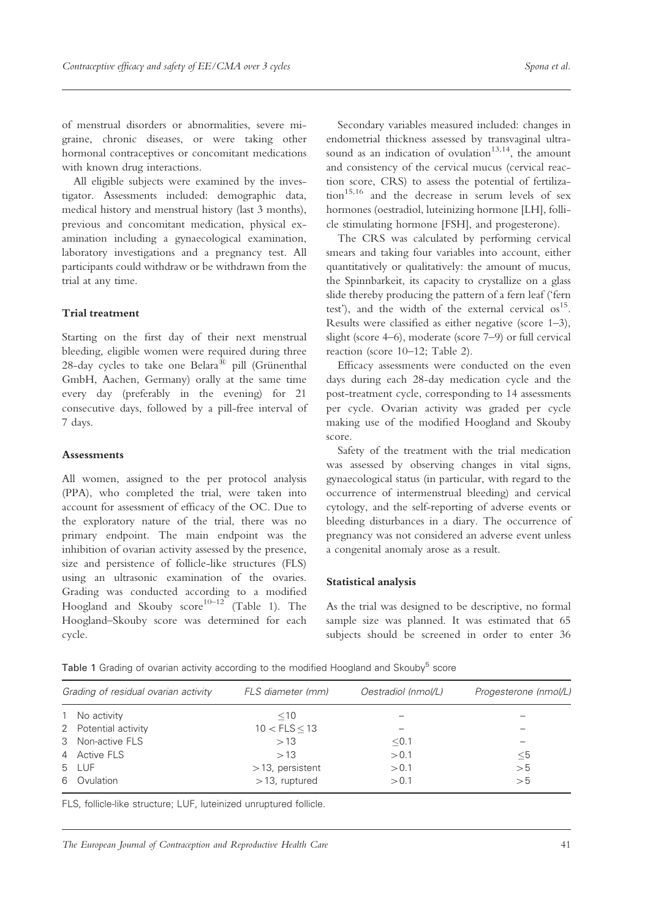of menstrual disorders or abnormalities, severe migraine, chronic diseases, or were taking other hormonal contraceptives or concomitant medications with known drug interactions.

All eligible subjects were examined by the investigator. Assessments included: demographic data, medical history and menstrual history (last 3 months), previous and concomitant medication, physical examination including a gynaecological examination, laboratory investigations and a pregnancy test. All participants could withdraw or be withdrawn from the trial at any time.

## Trial treatment

Starting on the first day of their next menstrual bleeding, eligible women were required during three 28-day cycles to take one Belara<sup>®</sup> pill (Grünenthal GmbH, Aachen, Germany) orally at the same time every day (preferably in the evening) for 21 consecutive days, followed by a pill-free interval of 7 days.

## **Assessments**

All women, assigned to the per protocol analysis (PPA), who completed the trial, were taken into account for assessment of efficacy of the OC. Due to the exploratory nature of the trial, there was no primary endpoint. The main endpoint was the inhibition of ovarian activity assessed by the presence, size and persistence of follicle-like structures (FLS) using an ultrasonic examination of the ovaries. Grading was conducted according to a modified Hoogland and Skouby  $score^{10-12}$  (Table 1). The Hoogland–Skouby score was determined for each cycle.

Secondary variables measured included: changes in endometrial thickness assessed by transvaginal ultrasound as an indication of ovulation<sup>13,14</sup>, the amount and consistency of the cervical mucus (cervical reaction score, CRS) to assess the potential of fertilization<sup>15,16</sup> and the decrease in serum levels of sex hormones (oestradiol, luteinizing hormone [LH], follicle stimulating hormone [FSH], and progesterone).

The CRS was calculated by performing cervical smears and taking four variables into account, either quantitatively or qualitatively: the amount of mucus, the Spinnbarkeit, its capacity to crystallize on a glass slide thereby producing the pattern of a fern leaf ('fern test'), and the width of the external cervical  $\sigma s^{15}$ . Results were classified as either negative (score 1–3), slight (score 4–6), moderate (score 7–9) or full cervical reaction (score 10–12; Table 2).

Efficacy assessments were conducted on the even days during each 28-day medication cycle and the post-treatment cycle, corresponding to 14 assessments per cycle. Ovarian activity was graded per cycle making use of the modified Hoogland and Skouby score.

Safety of the treatment with the trial medication was assessed by observing changes in vital signs, gynaecological status (in particular, with regard to the occurrence of intermenstrual bleeding) and cervical cytology, and the self-reporting of adverse events or bleeding disturbances in a diary. The occurrence of pregnancy was not considered an adverse event unless a congenital anomaly arose as a result.

## Statistical analysis

As the trial was designed to be descriptive, no formal sample size was planned. It was estimated that 65 subjects should be screened in order to enter 36

| Grading of residual ovarian activity |                      | FLS diameter (mm)  | Oestradiol (nmol/L) | Progesterone (nmol/L) |  |
|--------------------------------------|----------------------|--------------------|---------------------|-----------------------|--|
|                                      | 1 No activity        | $<$ 10             |                     |                       |  |
|                                      | 2 Potential activity | $10 < FLS \leq 13$ |                     |                       |  |
|                                      | 3 Non-active FLS     | >13                | < 0.1               |                       |  |
|                                      | 4 Active FLS         | >13                | > 0.1               | $\leq 5$              |  |
|                                      | 5 LUF                | $>13$ , persistent | > 0.1               | > 5                   |  |
|                                      | 6 Ovulation          | $>$ 13, ruptured   | > 0.1               | > 5                   |  |

Table 1 Grading of ovarian activity according to the modified Hoogland and Skouby<sup>5</sup> score

FLS, follicle-like structure; LUF, luteinized unruptured follicle.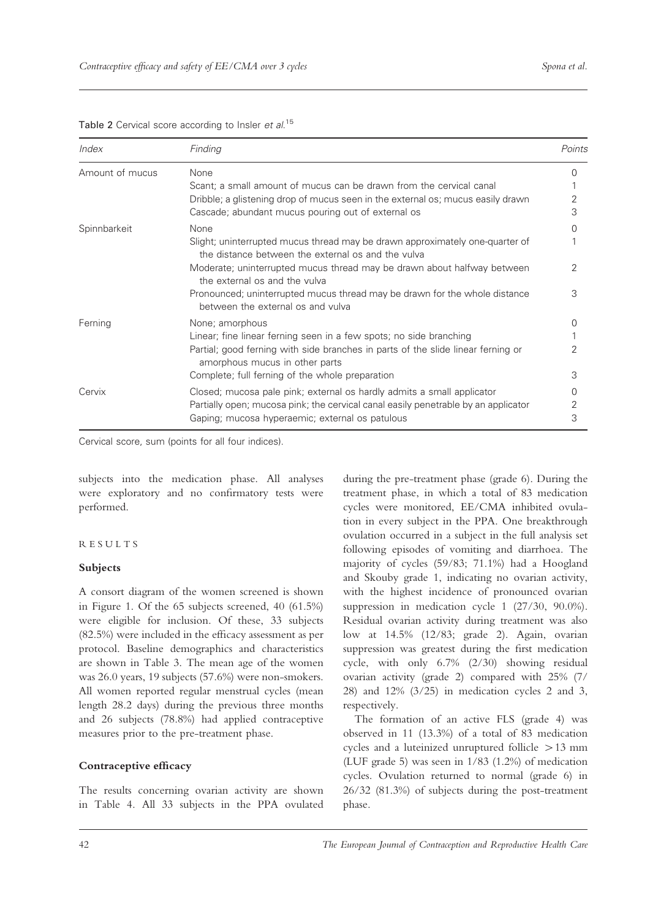| Index           | Finding                                                                                                                            | Points           |
|-----------------|------------------------------------------------------------------------------------------------------------------------------------|------------------|
| Amount of mucus | None                                                                                                                               |                  |
|                 | Scant; a small amount of mucus can be drawn from the cervical canal                                                                |                  |
|                 | Dribble; a glistening drop of mucus seen in the external os; mucus easily drawn                                                    | 2                |
|                 | Cascade; abundant mucus pouring out of external os                                                                                 | 3                |
| Spinnbarkeit    | None                                                                                                                               |                  |
|                 | Slight; uninterrupted mucus thread may be drawn approximately one-quarter of<br>the distance between the external os and the vulva |                  |
|                 | Moderate; uninterrupted mucus thread may be drawn about halfway between<br>the external os and the vulva                           | 2                |
|                 | Pronounced; uninterrupted mucus thread may be drawn for the whole distance<br>between the external os and vulva                    | 3                |
| Ferning         | None; amorphous                                                                                                                    | $\left( \right)$ |
|                 | Linear; fine linear ferning seen in a few spots; no side branching                                                                 |                  |
|                 | Partial; good ferning with side branches in parts of the slide linear ferning or<br>amorphous mucus in other parts                 |                  |
|                 | Complete; full ferning of the whole preparation                                                                                    | 3                |
| Cervix          | Closed; mucosa pale pink; external os hardly admits a small applicator                                                             |                  |
|                 | Partially open; mucosa pink; the cervical canal easily penetrable by an applicator                                                 | 2                |
|                 | Gaping; mucosa hyperaemic; external os patulous                                                                                    | З                |

Table 2 Cervical score according to Insler et al.<sup>15</sup>

Cervical score, sum (points for all four indices).

subjects into the medication phase. All analyses were exploratory and no confirmatory tests were performed.

# RESULTS

## Subjects

A consort diagram of the women screened is shown in Figure 1. Of the 65 subjects screened, 40 (61.5%) were eligible for inclusion. Of these, 33 subjects (82.5%) were included in the efficacy assessment as per protocol. Baseline demographics and characteristics are shown in Table 3. The mean age of the women was 26.0 years, 19 subjects (57.6%) were non-smokers. All women reported regular menstrual cycles (mean length 28.2 days) during the previous three months and 26 subjects (78.8%) had applied contraceptive measures prior to the pre-treatment phase.

# Contraceptive efficacy

The results concerning ovarian activity are shown in Table 4. All 33 subjects in the PPA ovulated

during the pre-treatment phase (grade 6). During the treatment phase, in which a total of 83 medication cycles were monitored, EE/CMA inhibited ovulation in every subject in the PPA. One breakthrough ovulation occurred in a subject in the full analysis set following episodes of vomiting and diarrhoea. The majority of cycles (59/83; 71.1%) had a Hoogland and Skouby grade 1, indicating no ovarian activity, with the highest incidence of pronounced ovarian suppression in medication cycle 1 (27/30, 90.0%). Residual ovarian activity during treatment was also low at 14.5% (12/83; grade 2). Again, ovarian suppression was greatest during the first medication cycle, with only 6.7% (2/30) showing residual ovarian activity (grade 2) compared with 25% (7/ 28) and 12% (3/25) in medication cycles 2 and 3, respectively.

The formation of an active FLS (grade 4) was observed in 11 (13.3%) of a total of 83 medication cycles and a luteinized unruptured follicle  $>13$  mm (LUF grade 5) was seen in 1/83 (1.2%) of medication cycles. Ovulation returned to normal (grade 6) in 26/32 (81.3%) of subjects during the post-treatment phase.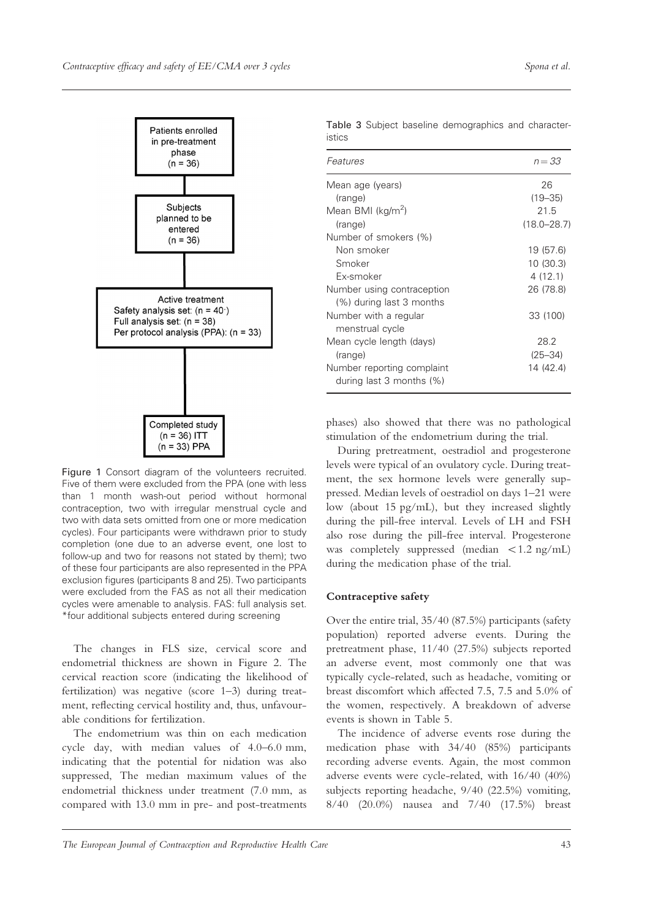

Table 3 Subject baseline demographics and characteristics

| Features                                                  | $n = 33$        |
|-----------------------------------------------------------|-----------------|
| Mean age (years)                                          | 26              |
| (range)                                                   | $(19 - 35)$     |
| Mean BMI (kg/m <sup>2</sup> )                             | 21.5            |
| (range)                                                   | $(18.0 - 28.7)$ |
| Number of smokers (%)                                     |                 |
| Non smoker                                                | 19 (57.6)       |
| Smoker                                                    | 10 (30.3)       |
| Fx-smoker                                                 | 4(12.1)         |
| Number using contraception                                | 26 (78.8)       |
| (%) during last 3 months                                  |                 |
| Number with a regular                                     | 33 (100)        |
| menstrual cycle                                           |                 |
| Mean cycle length (days)                                  | 28.2            |
| (range)                                                   | $(25 - 34)$     |
| Number reporting complaint<br>during last 3 months $(\%)$ | 14 (42.4)       |

Figure 1 Consort diagram of the volunteers recruited. Five of them were excluded from the PPA (one with less than 1 month wash-out period without hormonal contraception, two with irregular menstrual cycle and two with data sets omitted from one or more medication cycles). Four participants were withdrawn prior to study completion (one due to an adverse event, one lost to follow-up and two for reasons not stated by them); two of these four participants are also represented in the PPA exclusion figures (participants 8 and 25). Two participants were excluded from the FAS as not all their medication cycles were amenable to analysis. FAS: full analysis set. \*four additional subjects entered during screening

The changes in FLS size, cervical score and endometrial thickness are shown in Figure 2. The cervical reaction score (indicating the likelihood of fertilization) was negative (score 1–3) during treatment, reflecting cervical hostility and, thus, unfavourable conditions for fertilization.

The endometrium was thin on each medication cycle day, with median values of 4.0–6.0 mm, indicating that the potential for nidation was also suppressed, The median maximum values of the endometrial thickness under treatment (7.0 mm, as compared with 13.0 mm in pre- and post-treatments phases) also showed that there was no pathological stimulation of the endometrium during the trial.

During pretreatment, oestradiol and progesterone levels were typical of an ovulatory cycle. During treatment, the sex hormone levels were generally suppressed. Median levels of oestradiol on days 1–21 were low (about 15 pg/mL), but they increased slightly during the pill-free interval. Levels of LH and FSH also rose during the pill-free interval. Progesterone was completely suppressed (median  $\langle 1.2 \text{ ng/mL} \rangle$ during the medication phase of the trial.

## Contraceptive safety

Over the entire trial, 35/40 (87.5%) participants (safety population) reported adverse events. During the pretreatment phase, 11/40 (27.5%) subjects reported an adverse event, most commonly one that was typically cycle-related, such as headache, vomiting or breast discomfort which affected 7.5, 7.5 and 5.0% of the women, respectively. A breakdown of adverse events is shown in Table 5.

The incidence of adverse events rose during the medication phase with 34/40 (85%) participants recording adverse events. Again, the most common adverse events were cycle-related, with 16/40 (40%) subjects reporting headache, 9/40 (22.5%) vomiting, 8/40 (20.0%) nausea and 7/40 (17.5%) breast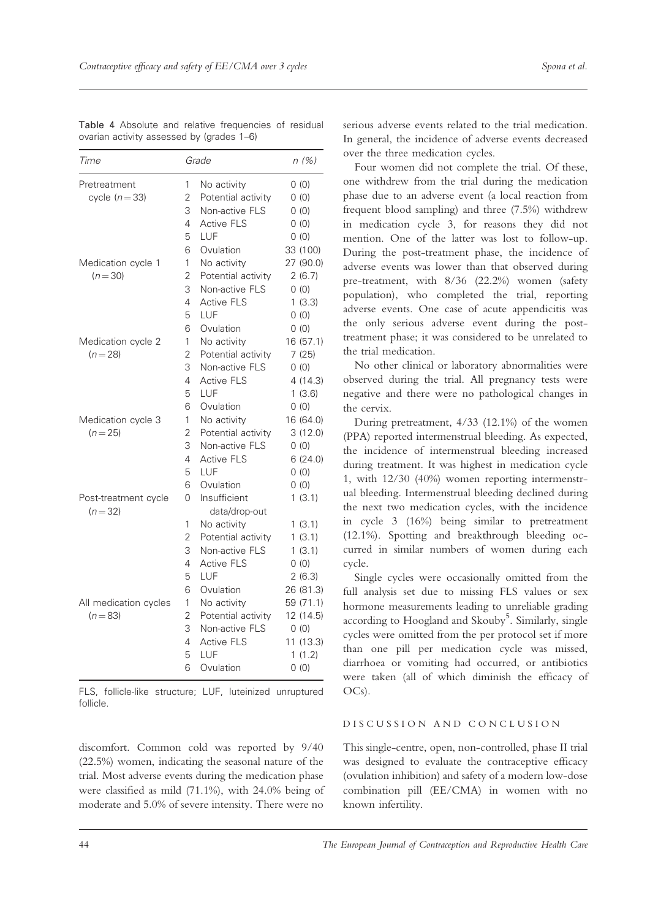| Time                  |   | Grade              | n(%)      |
|-----------------------|---|--------------------|-----------|
| Pretreatment          | 1 | No activity        | 0(0)      |
| cycle $(n=33)$        | 2 | Potential activity | 0(0)      |
|                       | 3 | Non-active FLS     | 0(0)      |
|                       | 4 | <b>Active FLS</b>  | 0(0)      |
|                       | 5 | LUF                | 0(0)      |
|                       | 6 | Ovulation          | 33 (100)  |
| Medication cycle 1    | 1 | No activity        | 27 (90.0) |
| $(n=30)$              | 2 | Potential activity | 2(6.7)    |
|                       | 3 | Non-active FLS     | 0(0)      |
|                       | 4 | <b>Active FLS</b>  | 1(3.3)    |
|                       | 5 | LUF                | 0(0)      |
|                       | 6 | Ovulation          | 0(0)      |
| Medication cycle 2    | 1 | No activity        | 16 (57.1) |
| $(n=28)$              | 2 | Potential activity | 7(25)     |
|                       | 3 | Non-active FLS     | 0(0)      |
|                       | 4 | <b>Active FLS</b>  | 4(14.3)   |
|                       | 5 | LUF                | 1(3.6)    |
|                       | 6 | Ovulation          | 0(0)      |
| Medication cycle 3    | 1 | No activity        | 16 (64.0) |
| $(n=25)$              | 2 | Potential activity | 3(12.0)   |
|                       | 3 | Non-active FLS     | 0(0)      |
|                       | 4 | <b>Active FLS</b>  | 6(24.0)   |
|                       | 5 | LUF                | 0(0)      |
|                       | 6 | Ovulation          | 0(0)      |
| Post-treatment cycle  |   | Insufficient       | 1(3.1)    |
| $(n=32)$              |   | data/drop-out      |           |
|                       | 1 | No activity        | 1(3.1)    |
|                       | 2 | Potential activity | 1(3.1)    |
|                       | 3 | Non-active FLS     | 1(3.1)    |
|                       | 4 | <b>Active FLS</b>  | 0(0)      |
|                       | 5 | LUF                | 2(6.3)    |
|                       | 6 | Ovulation          | 26 (81.3) |
| All medication cycles | 1 | No activity        | 59 (71.1) |
| $(n=83)$              | 2 | Potential activity | 12 (14.5) |
|                       | 3 | Non-active FLS     | 0(0)      |
|                       | 4 | <b>Active FLS</b>  | 11 (13.3) |
|                       | 5 | LUF                | 1(1.2)    |
|                       |   | Ovulation          | 0(0)      |

Table 4 Absolute and relative frequencies of residual ovarian activity assessed by (grades 1–6)

FLS, follicle-like structure; LUF, luteinized unruptured follicle.

discomfort. Common cold was reported by 9/40 (22.5%) women, indicating the seasonal nature of the trial. Most adverse events during the medication phase were classified as mild (71.1%), with 24.0% being of moderate and 5.0% of severe intensity. There were no

serious adverse events related to the trial medication. In general, the incidence of adverse events decreased over the three medication cycles.

Four women did not complete the trial. Of these, one withdrew from the trial during the medication phase due to an adverse event (a local reaction from frequent blood sampling) and three (7.5%) withdrew in medication cycle 3, for reasons they did not mention. One of the latter was lost to follow-up. During the post-treatment phase, the incidence of adverse events was lower than that observed during pre-treatment, with 8/36 (22.2%) women (safety population), who completed the trial, reporting adverse events. One case of acute appendicitis was the only serious adverse event during the posttreatment phase; it was considered to be unrelated to the trial medication.

No other clinical or laboratory abnormalities were observed during the trial. All pregnancy tests were negative and there were no pathological changes in the cervix.

During pretreatment, 4/33 (12.1%) of the women (PPA) reported intermenstrual bleeding. As expected, the incidence of intermenstrual bleeding increased during treatment. It was highest in medication cycle 1, with 12/30 (40%) women reporting intermenstrual bleeding. Intermenstrual bleeding declined during the next two medication cycles, with the incidence in cycle 3 (16%) being similar to pretreatment (12.1%). Spotting and breakthrough bleeding occurred in similar numbers of women during each cycle.

Single cycles were occasionally omitted from the full analysis set due to missing FLS values or sex hormone measurements leading to unreliable grading according to Hoogland and Skouby<sup>5</sup>. Similarly, single cycles were omitted from the per protocol set if more than one pill per medication cycle was missed, diarrhoea or vomiting had occurred, or antibiotics were taken (all of which diminish the efficacy of OCs).

# DISCUSSION AND CONCLUSION

This single-centre, open, non-controlled, phase II trial was designed to evaluate the contraceptive efficacy (ovulation inhibition) and safety of a modern low-dose combination pill (EE/CMA) in women with no known infertility.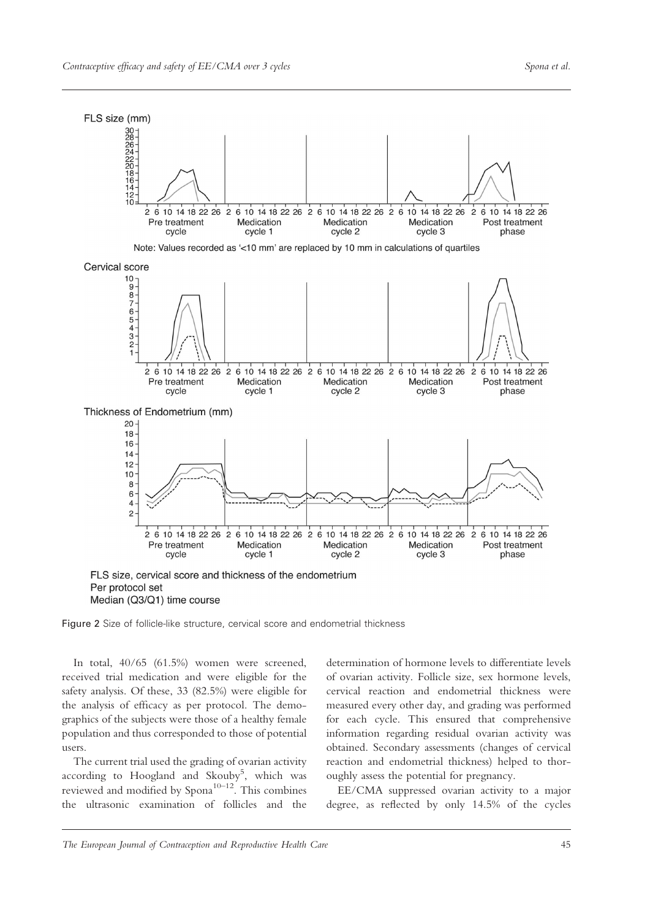

Figure 2 Size of follicle-like structure, cervical score and endometrial thickness

In total, 40/65 (61.5%) women were screened, received trial medication and were eligible for the safety analysis. Of these, 33 (82.5%) were eligible for the analysis of efficacy as per protocol. The demographics of the subjects were those of a healthy female population and thus corresponded to those of potential users.

The current trial used the grading of ovarian activity according to Hoogland and Skouby<sup>5</sup>, which was reviewed and modified by  $Span<sup>10–12</sup>$ . This combines the ultrasonic examination of follicles and the

determination of hormone levels to differentiate levels of ovarian activity. Follicle size, sex hormone levels, cervical reaction and endometrial thickness were measured every other day, and grading was performed for each cycle. This ensured that comprehensive information regarding residual ovarian activity was obtained. Secondary assessments (changes of cervical reaction and endometrial thickness) helped to thoroughly assess the potential for pregnancy.

EE/CMA suppressed ovarian activity to a major degree, as reflected by only 14.5% of the cycles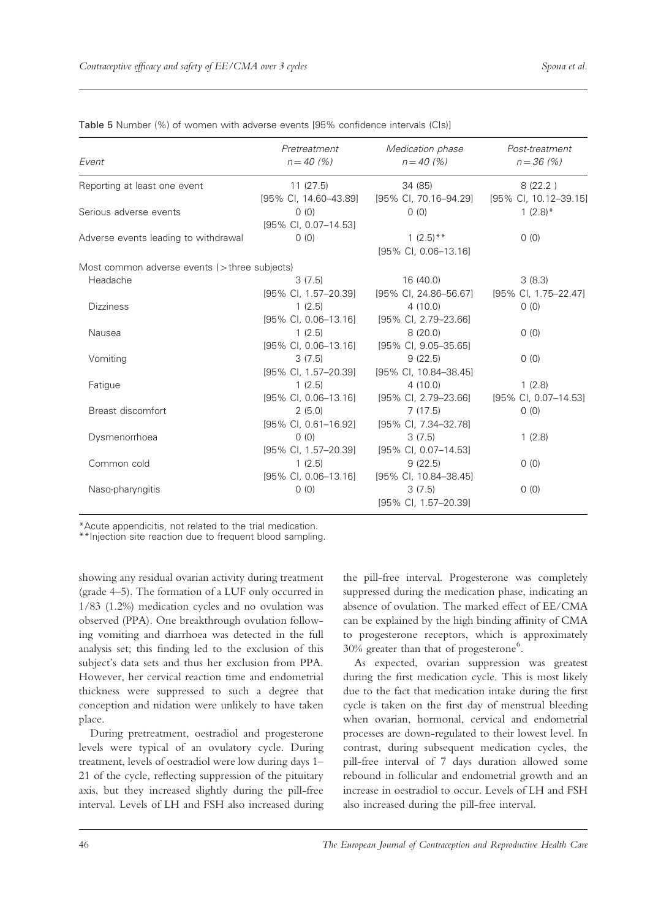| Event                                            | Pretreatment<br>$n = 40(%)$     | Medication phase<br>$n = 40 (%)$ | Post-treatment<br>$n = 36 (%)$ |
|--------------------------------------------------|---------------------------------|----------------------------------|--------------------------------|
| Reporting at least one event                     | 11(27.5)                        | 34 (85)                          | 8(22.2)                        |
|                                                  | [95% CI, 14.60-43.89]           | [95% CI, 70.16-94.29]            | [95% Cl, 10.12-39.15]          |
| Serious adverse events                           | 0(0)                            | (0)                              | $1(2.8)$ *                     |
|                                                  | [95% CI, 0.07-14.53]            |                                  |                                |
| Adverse events leading to withdrawal             | 0(0)                            | $1(2.5)$ **                      | 0(0)                           |
|                                                  |                                 | [95% CI, 0.06-13.16]             |                                |
| Most common adverse events ( $>$ three subjects) |                                 |                                  |                                |
| Headache                                         | 3(7.5)                          | 16 (40.0)                        | 3(8.3)                         |
|                                                  | [95% CI, 1.57-20.39]            | [95% CI, 24.86-56.67]            | [95% CI, 1.75–22.47]           |
| <b>Dizziness</b>                                 | 1(2.5)                          | 4(10.0)                          | 0(0)                           |
|                                                  | $[95\% \text{ Cl}, 0.06-13.16]$ | [95% CI, 2.79-23.66]             |                                |
| Nausea                                           | 1(2.5)                          | 8(20.0)                          | 0(0)                           |
|                                                  | [95% CI, 0.06-13.16]            | [95% CI, 9.05-35.65]             |                                |
| Vomiting                                         | 3(7.5)                          | 9(22.5)                          | 0(0)                           |
|                                                  | [95% CI, 1.57-20.39]            | [95% CI, 10.84-38.45]            |                                |
| Fatigue                                          | 1(2.5)                          | 4(10.0)                          | 1(2.8)                         |
|                                                  | [95% CI, 0.06-13.16]            | $[95\% \text{ Cl}, 2.79-23.66]$  | [95% CI, 0.07-14.53]           |
| Breast discomfort                                | 2(5.0)                          | 7(17.5)                          | 0(0)                           |
|                                                  | [95% CI, 0.61-16.92]            | [95% Cl, 7.34-32.78]             |                                |
| Dysmenorrhoea                                    | 0(0)                            | 3(7.5)                           | 1(2.8)                         |
|                                                  | [95% Cl, 1.57-20.39]            | [95% CI, 0.07-14.53]             |                                |
| Common cold                                      | 1(2.5)                          | 9(22.5)                          | 0(0)                           |
|                                                  | $[95\% \text{ Cl}, 0.06-13.16]$ | [95% CI, 10.84-38.45]            |                                |
| Naso-pharyngitis                                 | 0(0)                            | 3(7.5)                           | 0(0)                           |
|                                                  |                                 | [95% CI, 1.57-20.39]             |                                |

Table 5 Number (%) of women with adverse events [95% confidence intervals (CIs)]

\*Acute appendicitis, not related to the trial medication.

\*\*Injection site reaction due to frequent blood sampling.

showing any residual ovarian activity during treatment (grade 4–5). The formation of a LUF only occurred in 1/83 (1.2%) medication cycles and no ovulation was observed (PPA). One breakthrough ovulation following vomiting and diarrhoea was detected in the full analysis set; this finding led to the exclusion of this subject's data sets and thus her exclusion from PPA. However, her cervical reaction time and endometrial thickness were suppressed to such a degree that conception and nidation were unlikely to have taken place.

During pretreatment, oestradiol and progesterone levels were typical of an ovulatory cycle. During treatment, levels of oestradiol were low during days 1– 21 of the cycle, reflecting suppression of the pituitary axis, but they increased slightly during the pill-free interval. Levels of LH and FSH also increased during the pill-free interval. Progesterone was completely suppressed during the medication phase, indicating an absence of ovulation. The marked effect of EE/CMA can be explained by the high binding affinity of CMA to progesterone receptors, which is approximately 30% greater than that of progesterone<sup>6</sup>.

As expected, ovarian suppression was greatest during the first medication cycle. This is most likely due to the fact that medication intake during the first cycle is taken on the first day of menstrual bleeding when ovarian, hormonal, cervical and endometrial processes are down-regulated to their lowest level. In contrast, during subsequent medication cycles, the pill-free interval of 7 days duration allowed some rebound in follicular and endometrial growth and an increase in oestradiol to occur. Levels of LH and FSH also increased during the pill-free interval.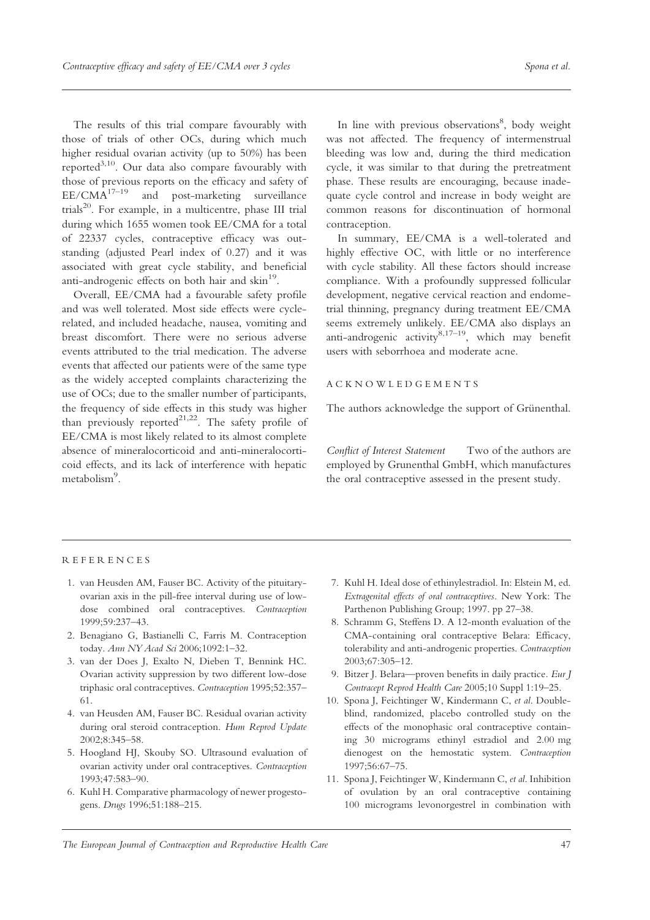The results of this trial compare favourably with those of trials of other OCs, during which much higher residual ovarian activity (up to 50%) has been reported<sup>3,10</sup>. Our data also compare favourably with those of previous reports on the efficacy and safety of  $EE/CMA^{17-19}$  and post-marketing surveillance and post-marketing surveillance  $\text{trials}^{20}$ . For example, in a multicentre, phase III trial during which 1655 women took EE/CMA for a total of 22337 cycles, contraceptive efficacy was outstanding (adjusted Pearl index of 0.27) and it was associated with great cycle stability, and beneficial anti-androgenic effects on both hair and skin<sup>19</sup>.

Overall, EE/CMA had a favourable safety profile and was well tolerated. Most side effects were cyclerelated, and included headache, nausea, vomiting and breast discomfort. There were no serious adverse events attributed to the trial medication. The adverse events that affected our patients were of the same type as the widely accepted complaints characterizing the use of OCs; due to the smaller number of participants, the frequency of side effects in this study was higher than previously reported $2^{1,22}$ . The safety profile of EE/CMA is most likely related to its almost complete absence of mineralocorticoid and anti-mineralocorticoid effects, and its lack of interference with hepatic metabolism<sup>9</sup>.

In line with previous observations<sup>8</sup>, body weight was not affected. The frequency of intermenstrual bleeding was low and, during the third medication cycle, it was similar to that during the pretreatment phase. These results are encouraging, because inadequate cycle control and increase in body weight are common reasons for discontinuation of hormonal contraception.

In summary, EE/CMA is a well-tolerated and highly effective OC, with little or no interference with cycle stability. All these factors should increase compliance. With a profoundly suppressed follicular development, negative cervical reaction and endometrial thinning, pregnancy during treatment EE/CMA seems extremely unlikely. EE/CMA also displays an anti-androgenic activity $8,17-19$ , which may benefit users with seborrhoea and moderate acne.

## ACKNOWLEDGEMENTS

The authors acknowledge the support of Grünenthal.

Conflict of Interest Statement Two of the authors are employed by Grunenthal GmbH, which manufactures the oral contraceptive assessed in the present study.

## REFERENCES

- 1. van Heusden AM, Fauser BC. Activity of the pituitaryovarian axis in the pill-free interval during use of lowdose combined oral contraceptives. Contraception 1999;59:237–43.
- 2. Benagiano G, Bastianelli C, Farris M. Contraception today. Ann NY Acad Sci 2006;1092:1-32.
- 3. van der Does J, Exalto N, Dieben T, Bennink HC. Ovarian activity suppression by two different low-dose triphasic oral contraceptives. Contraception 1995;52:357– 61.
- 4. van Heusden AM, Fauser BC. Residual ovarian activity during oral steroid contraception. Hum Reprod Update 2002;8:345–58.
- 5. Hoogland HJ, Skouby SO. Ultrasound evaluation of ovarian activity under oral contraceptives. Contraception 1993;47:583–90.
- 6. Kuhl H. Comparative pharmacology of newer progestogens. Drugs 1996;51:188–215.
- 7. Kuhl H. Ideal dose of ethinylestradiol. In: Elstein M, ed. Extragenital effects of oral contraceptives. New York: The Parthenon Publishing Group; 1997. pp 27–38.
- 8. Schramm G, Steffens D. A 12-month evaluation of the CMA-containing oral contraceptive Belara: Efficacy, tolerability and anti-androgenic properties. Contraception 2003;67:305–12.
- 9. Bitzer J. Belara—proven benefits in daily practice. Eur J Contracept Reprod Health Care 2005;10 Suppl 1:19–25.
- 10. Spona J, Feichtinger W, Kindermann C, et al. Doubleblind, randomized, placebo controlled study on the effects of the monophasic oral contraceptive containing 30 micrograms ethinyl estradiol and 2.00 mg dienogest on the hemostatic system. Contraception 1997;56:67–75.
- 11. Spona J, Feichtinger W, Kindermann C, et al. Inhibition of ovulation by an oral contraceptive containing 100 micrograms levonorgestrel in combination with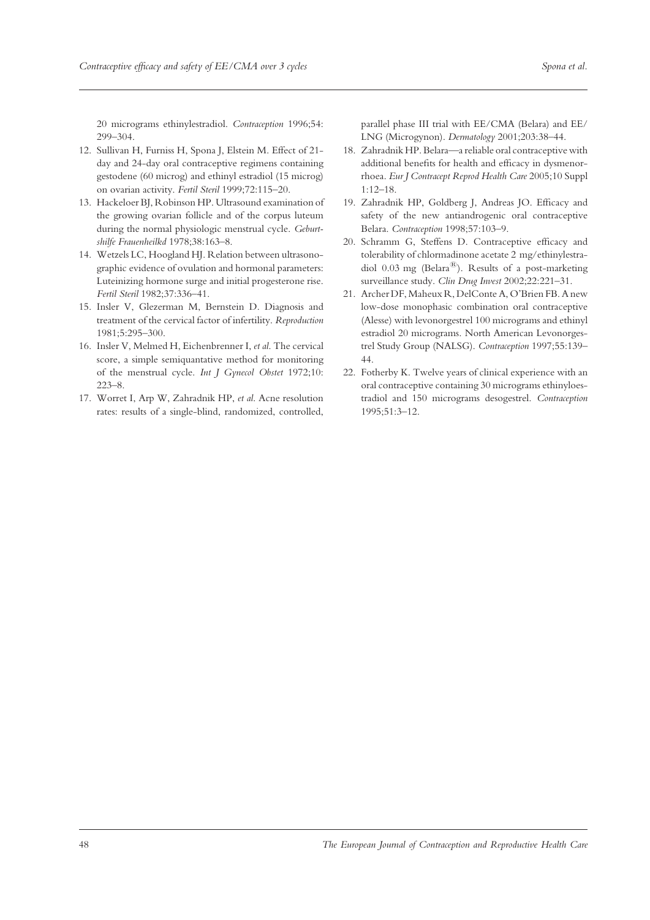20 micrograms ethinylestradiol. Contraception 1996;54: 299–304.

- 12. Sullivan H, Furniss H, Spona J, Elstein M. Effect of 21 day and 24-day oral contraceptive regimens containing gestodene (60 microg) and ethinyl estradiol (15 microg) on ovarian activity. Fertil Steril 1999;72:115–20.
- 13. Hackeloer BJ, Robinson HP. Ultrasound examination of the growing ovarian follicle and of the corpus luteum during the normal physiologic menstrual cycle. Geburtshilfe Frauenheilkd 1978;38:163–8.
- 14. Wetzels LC, Hoogland HJ. Relation between ultrasonographic evidence of ovulation and hormonal parameters: Luteinizing hormone surge and initial progesterone rise. Fertil Steril 1982;37:336–41.
- 15. Insler V, Glezerman M, Bernstein D. Diagnosis and treatment of the cervical factor of infertility. Reproduction 1981;5:295–300.
- 16. Insler V, Melmed H, Eichenbrenner I, et al. The cervical score, a simple semiquantative method for monitoring of the menstrual cycle. Int J Gynecol Obstet 1972;10: 223–8.
- 17. Worret I, Arp W, Zahradnik HP, et al. Acne resolution rates: results of a single-blind, randomized, controlled,

parallel phase III trial with EE/CMA (Belara) and EE/ LNG (Microgynon). Dermatology 2001;203:38–44.

- 18. Zahradnik HP. Belara—a reliable oral contraceptive with additional benefits for health and efficacy in dysmenorrhoea. Eur J Contracept Reprod Health Care 2005;10 Suppl 1:12–18.
- 19. Zahradnik HP, Goldberg J, Andreas JO. Efficacy and safety of the new antiandrogenic oral contraceptive Belara. Contraception 1998;57:103–9.
- 20. Schramm G, Steffens D. Contraceptive efficacy and tolerability of chlormadinone acetate 2 mg/ethinylestradiol 0.03 mg (Belara<sup>®</sup>). Results of a post-marketing surveillance study. Clin Drug Invest 2002;22:221-31.
- 21. Archer DF, Maheux R, DelConte A, O'Brien FB. A new low-dose monophasic combination oral contraceptive (Alesse) with levonorgestrel 100 micrograms and ethinyl estradiol 20 micrograms. North American Levonorgestrel Study Group (NALSG). Contraception 1997;55:139– 44.
- 22. Fotherby K. Twelve years of clinical experience with an oral contraceptive containing 30 micrograms ethinyloestradiol and 150 micrograms desogestrel. Contraception 1995;51:3–12.